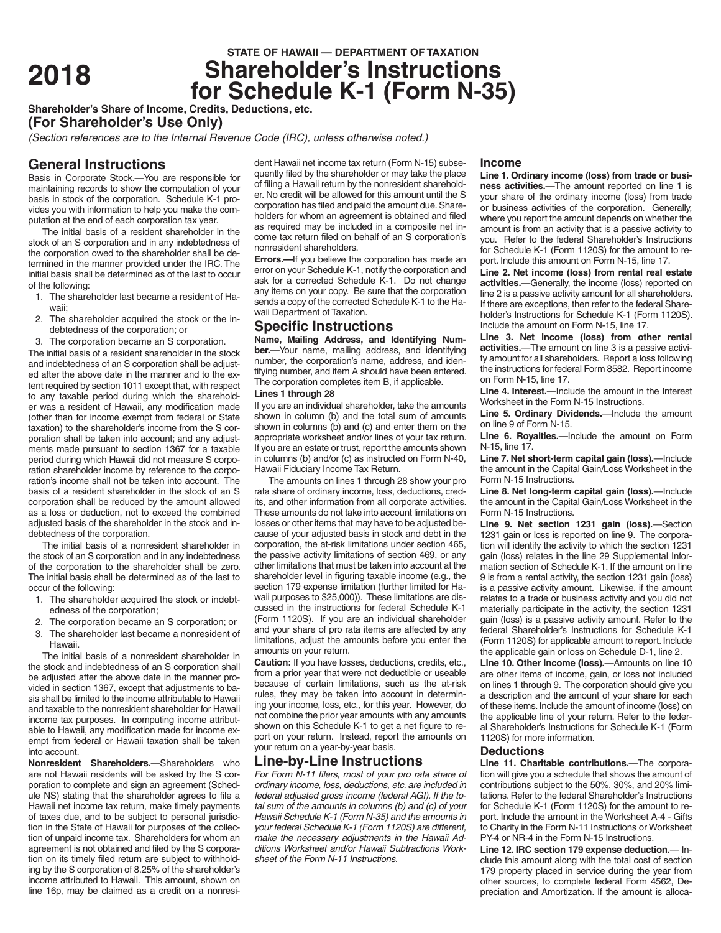# **STATE OF HAWAII — DEPARTMENT OF TAXATION**<br>**Shareholder's Instructions <sup>2018</sup> Shareholder's Instructions for Schedule K-1 (Form N-35)**

**Shareholder's Share of Income, Credits, Deductions, etc.**

**(For Shareholder's Use Only)**

*(Section references are to the Internal Revenue Code (IRC), unless otherwise noted.)*

# **General Instructions**

Basis in Corporate Stock.—You are responsible for maintaining records to show the computation of your basis in stock of the corporation. Schedule K-1 provides you with information to help you make the computation at the end of each corporation tax year.

The initial basis of a resident shareholder in the stock of an S corporation and in any indebtedness of the corporation owed to the shareholder shall be determined in the manner provided under the IRC. The initial basis shall be determined as of the last to occur of the following:

- 1. The shareholder last became a resident of Hawaii;
- 2. The shareholder acquired the stock or the indebtedness of the corporation; or
- 3. The corporation became an S corporation.

The initial basis of a resident shareholder in the stock and indebtedness of an S corporation shall be adjusted after the above date in the manner and to the extent required by section 1011 except that, with respect to any taxable period during which the shareholder was a resident of Hawaii, any modification made (other than for income exempt from federal or State taxation) to the shareholder's income from the S corporation shall be taken into account; and any adjustments made pursuant to section 1367 for a taxable period during which Hawaii did not measure S corporation shareholder income by reference to the corporation's income shall not be taken into account. The basis of a resident shareholder in the stock of an S corporation shall be reduced by the amount allowed as a loss or deduction, not to exceed the combined adjusted basis of the shareholder in the stock and indebtedness of the corporation.

The initial basis of a nonresident shareholder in the stock of an S corporation and in any indebtedness of the corporation to the shareholder shall be zero. The initial basis shall be determined as of the last to occur of the following:

- 1. The shareholder acquired the stock or indebtedness of the corporation;
- 2. The corporation became an S corporation; or
- 3. The shareholder last became a nonresident of Hawaii.

The initial basis of a nonresident shareholder in the stock and indebtedness of an S corporation shall be adjusted after the above date in the manner provided in section 1367, except that adjustments to basis shall be limited to the income attributable to Hawaii and taxable to the nonresident shareholder for Hawaii income tax purposes. In computing income attributable to Hawaii, any modification made for income exempt from federal or Hawaii taxation shall be taken into account.

**Nonresident Shareholders.**—Shareholders who are not Hawaii residents will be asked by the S corporation to complete and sign an agreement (Schedule NS) stating that the shareholder agrees to file a Hawaii net income tax return, make timely payments of taxes due, and to be subject to personal jurisdiction in the State of Hawaii for purposes of the collection of unpaid income tax. Shareholders for whom an agreement is not obtained and filed by the S corporation on its timely filed return are subject to withholding by the S corporation of 8.25% of the shareholder's income attributed to Hawaii. This amount, shown on line 16p, may be claimed as a credit on a nonresi-

dent Hawaii net income tax return (Form N-15) subsequently filed by the shareholder or may take the place of filing a Hawaii return by the nonresident shareholder. No credit will be allowed for this amount until the S corporation has filed and paid the amount due. Shareholders for whom an agreement is obtained and filed as required may be included in a composite net income tax return filed on behalf of an S corporation's nonresident shareholders.

**Errors.**—If you believe the corporation has made an error on your Schedule K-1, notify the corporation and ask for a corrected Schedule K-1. Do not change any items on your copy. Be sure that the corporation sends a copy of the corrected Schedule K-1 to the Hawaii Department of Taxation.

# **Specific Instructions**

**Name, Mailing Address, and Identifying Number.**—Your name, mailing address, and identifying number, the corporation's name, address, and identifying number, and item A should have been entered. The corporation completes item B, if applicable.

# **Lines 1 through 28**

If you are an individual shareholder, take the amounts shown in column (b) and the total sum of amounts shown in columns (b) and (c) and enter them on the appropriate worksheet and/or lines of your tax return. If you are an estate or trust, report the amounts shown in columns (b) and/or (c) as instructed on Form N-40, Hawaii Fiduciary Income Tax Return.

The amounts on lines 1 through 28 show your pro rata share of ordinary income, loss, deductions, credits, and other information from all corporate activities. These amounts do not take into account limitations on losses or other items that may have to be adjusted because of your adjusted basis in stock and debt in the corporation, the at-risk limitations under section 465, the passive activity limitations of section 469, or any other limitations that must be taken into account at the shareholder level in figuring taxable income (e.g., the section 179 expense limitation (further limited for Hawaii purposes to \$25,000)). These limitations are discussed in the instructions for federal Schedule K-1 (Form 1120S). If you are an individual shareholder and your share of pro rata items are affected by any limitations, adjust the amounts before you enter the amounts on your return.

**Caution:** If you have losses, deductions, credits, etc., from a prior year that were not deductible or useable because of certain limitations, such as the at-risk rules, they may be taken into account in determining your income, loss, etc., for this year. However, do not combine the prior year amounts with any amounts shown on this Schedule K-1 to get a net figure to report on your return. Instead, report the amounts on your return on a year-by-year basis.

# **Line-by-Line Instructions**

*For Form N-11 filers, most of your pro rata share of ordinary income, loss, deductions, etc. are included in federal adjusted gross income (federal AGI). If the total sum of the amounts in columns (b) and (c) of your Hawaii Schedule K-1 (Form N-35) and the amounts in your federal Schedule K-1 (Form 1120S) are different, make the necessary adjustments in the Hawaii Additions Worksheet and/or Hawaii Subtractions Worksheet of the Form N-11 Instructions.*

## **Income**

**Line 1. Ordinary income (loss) from trade or business activities.**—The amount reported on line 1 is your share of the ordinary income (loss) from trade or business activities of the corporation. Generally, where you report the amount depends on whether the amount is from an activity that is a passive activity to you. Refer to the federal Shareholder's Instructions for Schedule K-1 (Form 1120S) for the amount to report. Include this amount on Form N-15, line 17.

**Line 2. Net income (loss) from rental real estate activities.**—Generally, the income (loss) reported on line 2 is a passive activity amount for all shareholders. If there are exceptions, then refer to the federal Shareholder's Instructions for Schedule K-1 (Form 1120S). Include the amount on Form N-15, line 17.

**Line 3. Net income (loss) from other rental activities.**—The amount on line 3 is a passive activity amount for all shareholders. Report a loss following the instructions for federal Form 8582. Report income on Form N-15, line 17.

**Line 4. Interest.**—Include the amount in the Interest Worksheet in the Form N-15 Instructions.

**Line 5. Ordinary Dividends.**—Include the amount on line 9 of Form N-15.

**Line 6. Royalties.**—Include the amount on Form N-15, line 17.

**Line 7. Net short-term capital gain (loss).**—Include the amount in the Capital Gain/Loss Worksheet in the Form N-15 Instructions.

**Line 8. Net long-term capital gain (loss).**—Include the amount in the Capital Gain/Loss Worksheet in the Form N-15 Instructions.

**Line 9. Net section 1231 gain (loss).**—Section 1231 gain or loss is reported on line 9. The corporation will identify the activity to which the section 1231 gain (loss) relates in the line 29 Supplemental Information section of Schedule K-1. If the amount on line 9 is from a rental activity, the section 1231 gain (loss) is a passive activity amount. Likewise, if the amount relates to a trade or business activity and you did not materially participate in the activity, the section 1231 gain (loss) is a passive activity amount. Refer to the federal Shareholder's Instructions for Schedule K-1 (Form 1120S) for applicable amount to report. Include the applicable gain or loss on Schedule D-1, line 2.

**Line 10. Other income (loss).**—Amounts on line 10 are other items of income, gain, or loss not included on lines 1 through 9. The corporation should give you a description and the amount of your share for each of these items. Include the amount of income (loss) on the applicable line of your return. Refer to the federal Shareholder's Instructions for Schedule K-1 (Form 1120S) for more information.

## **Deductions**

**Line 11. Charitable contributions.**—The corporation will give you a schedule that shows the amount of contributions subject to the 50%, 30%, and 20% limitations. Refer to the federal Shareholder's Instructions for Schedule K-1 (Form 1120S) for the amount to report. Include the amount in the Worksheet A-4 - Gifts to Charity in the Form N-11 Instructions or Worksheet PY-4 or NR-4 in the Form N-15 Instructions.

**Line 12. IRC section 179 expense deduction.**— Include this amount along with the total cost of section 179 property placed in service during the year from other sources, to complete federal Form 4562, Depreciation and Amortization. If the amount is alloca-